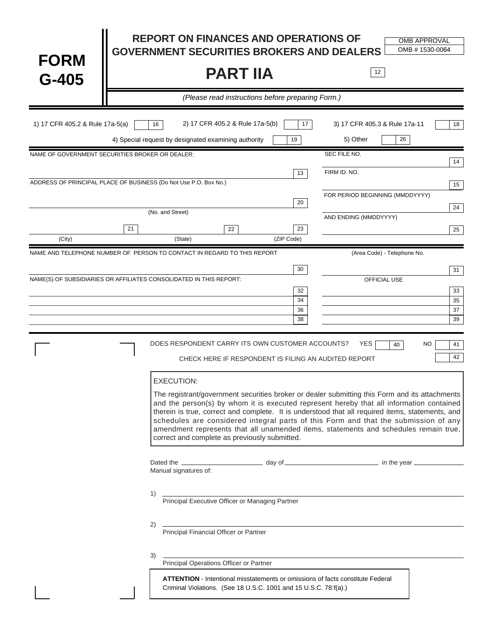| <b>FORM</b><br>$G-405$                                             |                   | <b>REPORT ON FINANCES AND OPERATIONS OF</b><br><b>GOVERNMENT SECURITIES BROKERS AND DEALERS</b><br><b>PART IIA</b>                                                                                                                                                                                                                                                                                                                                                                                                             |                      | 12                                                       | <b>OMB APPROVAL</b><br>OMB #1530-0064 |
|--------------------------------------------------------------------|-------------------|--------------------------------------------------------------------------------------------------------------------------------------------------------------------------------------------------------------------------------------------------------------------------------------------------------------------------------------------------------------------------------------------------------------------------------------------------------------------------------------------------------------------------------|----------------------|----------------------------------------------------------|---------------------------------------|
|                                                                    |                   | (Please read instructions before preparing Form.)                                                                                                                                                                                                                                                                                                                                                                                                                                                                              |                      |                                                          |                                       |
| 1) 17 CFR 405.2 & Rule 17a-5(a)                                    | 16                | 2) 17 CFR 405.2 & Rule 17a-5(b)<br>4) Special request by designated examining authority                                                                                                                                                                                                                                                                                                                                                                                                                                        | 17<br>19             | 3) 17 CFR 405.3 & Rule 17a-11<br>5) Other                | 18<br>26                              |
| NAME OF GOVERNMENT SECURITIES BROKER OR DEALER:                    |                   |                                                                                                                                                                                                                                                                                                                                                                                                                                                                                                                                |                      | SEC FILE NO.                                             | 14                                    |
| ADDRESS OF PRINCIPAL PLACE OF BUSINESS (Do Not Use P.O. Box No.)   |                   |                                                                                                                                                                                                                                                                                                                                                                                                                                                                                                                                | 13                   | FIRM ID. NO.                                             | 15                                    |
|                                                                    | (No. and Street)  |                                                                                                                                                                                                                                                                                                                                                                                                                                                                                                                                | 20                   | FOR PERIOD BEGINNING (MMDDYYYY)<br>AND ENDING (MMDDYYYY) | 24                                    |
|                                                                    | 21                | 22                                                                                                                                                                                                                                                                                                                                                                                                                                                                                                                             | 23                   |                                                          | 25                                    |
| (City)                                                             |                   | (State)                                                                                                                                                                                                                                                                                                                                                                                                                                                                                                                        | (ZIP Code)           |                                                          |                                       |
|                                                                    |                   | NAME AND TELEPHONE NUMBER OF PERSON TO CONTACT IN REGARD TO THIS REPORT                                                                                                                                                                                                                                                                                                                                                                                                                                                        | 30                   | (Area Code) - Telephone No.                              | 31                                    |
| NAME(S) OF SUBSIDIARIES OR AFFILIATES CONSOLIDATED IN THIS REPORT: |                   |                                                                                                                                                                                                                                                                                                                                                                                                                                                                                                                                | 32<br>34<br>36<br>38 | OFFICIAL USE                                             | 33<br>35<br>37<br>39                  |
|                                                                    |                   | DOES RESPONDENT CARRY ITS OWN CUSTOMER ACCOUNTS?<br>CHECK HERE IF RESPONDENT IS FILING AN AUDITED REPORT                                                                                                                                                                                                                                                                                                                                                                                                                       |                      | <b>YES</b>                                               | NO<br>40<br>41<br>42                  |
|                                                                    | <b>EXECUTION:</b> | The registrant/government securities broker or dealer submitting this Form and its attachments<br>and the person(s) by whom it is executed represent hereby that all information contained<br>therein is true, correct and complete. It is understood that all required items, statements, and<br>schedules are considered integral parts of this Form and that the submission of any<br>amendment represents that all unamended items, statements and schedules remain true,<br>correct and complete as previously submitted. |                      |                                                          |                                       |
|                                                                    |                   | Dated the <b>contract of the contract of the search of the search of the search of the year contract of the search of the search of the search of the search of the search of the search of the search of the search of the se</b><br>Manual signatures of:                                                                                                                                                                                                                                                                    |                      |                                                          |                                       |
|                                                                    | 1)                | -<br>Principal Executive Officer or Managing Partner                                                                                                                                                                                                                                                                                                                                                                                                                                                                           |                      |                                                          |                                       |
|                                                                    | 2)<br>3)          | <b>Principal Financial Officer or Partner</b>                                                                                                                                                                                                                                                                                                                                                                                                                                                                                  |                      |                                                          |                                       |
|                                                                    |                   | Principal Operations Officer or Partner<br>Principal Operations Officer or Partner<br><b>ATTENTION</b> - Intentional misstatements or omissions of facts constitute Federal<br>Criminal Violations. (See 18 U.S.C. 1001 and 15 U.S.C. 78:f(a).)                                                                                                                                                                                                                                                                                |                      |                                                          |                                       |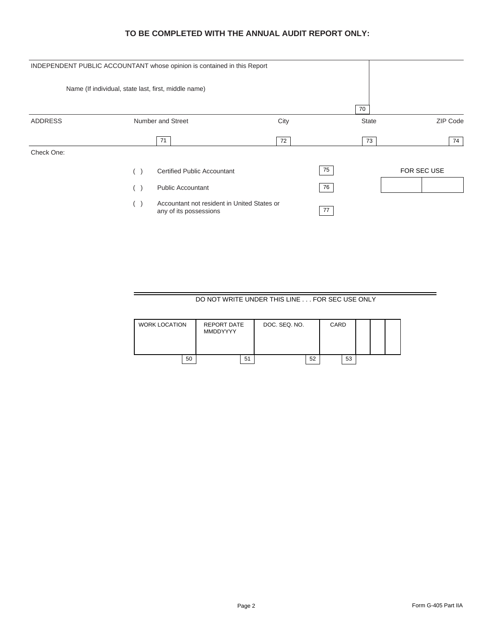## **TO BE COMPLETED WITH THE ANNUAL AUDIT REPORT ONLY:**

|                | INDEPENDENT PUBLIC ACCOUNTANT whose opinion is contained in this Report    |      |              |             |
|----------------|----------------------------------------------------------------------------|------|--------------|-------------|
|                | Name (If individual, state last, first, middle name)                       |      |              |             |
|                |                                                                            |      | 70           |             |
| <b>ADDRESS</b> | Number and Street                                                          | City | <b>State</b> | ZIP Code    |
|                | 71                                                                         | 72   | 73           | 74          |
| Check One:     |                                                                            |      |              |             |
|                | <b>Certified Public Accountant</b>                                         | 75   |              | FOR SEC USE |
|                | <b>Public Accountant</b><br>$\Box$                                         | 76   |              |             |
|                | Accountant not resident in United States or<br>(<br>any of its possessions | 77   |              |             |

# DO NOT WRITE UNDER THIS LINE . . . FOR SEC USE ONLY

| <b>WORK LOCATION</b> | REPORT DATE<br>MMDDYYYY |    | DOC. SEQ. NO. |    | CARD |    |  |  |
|----------------------|-------------------------|----|---------------|----|------|----|--|--|
| 50                   |                         | 51 |               | 52 |      | 53 |  |  |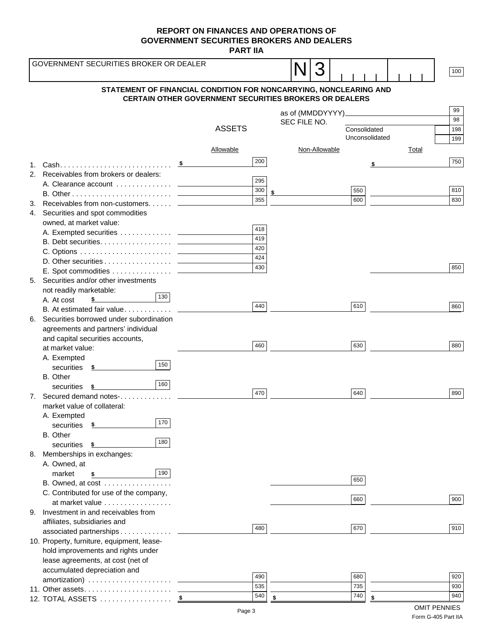**PART IIA**

|    | GOVERNMENT SECURITIES BROKER OR DEALER       |                                                                                                                                    |     |              |               |                |    |              | 100 |
|----|----------------------------------------------|------------------------------------------------------------------------------------------------------------------------------------|-----|--------------|---------------|----------------|----|--------------|-----|
|    |                                              | STATEMENT OF FINANCIAL CONDITION FOR NONCARRYING, NONCLEARING AND<br><b>CERTAIN OTHER GOVERNMENT SECURITIES BROKERS OR DEALERS</b> |     |              |               |                |    |              |     |
|    |                                              |                                                                                                                                    |     |              |               |                |    |              | 99  |
|    |                                              |                                                                                                                                    |     |              |               |                |    |              | 98  |
|    |                                              | <b>ASSETS</b>                                                                                                                      |     | SEC FILE NO. |               | Consolidated   |    |              | 198 |
|    |                                              |                                                                                                                                    |     |              |               | Unconsolidated |    |              | 199 |
|    |                                              | Allowable                                                                                                                          |     |              | Non-Allowable |                |    |              |     |
|    |                                              |                                                                                                                                    |     |              |               |                |    | <b>Total</b> |     |
| 1. |                                              | - \$                                                                                                                               | 200 |              |               |                |    |              | 750 |
|    | 2. Receivables from brokers or dealers:      |                                                                                                                                    |     |              |               |                |    |              |     |
|    |                                              |                                                                                                                                    | 295 |              |               |                |    |              |     |
|    |                                              |                                                                                                                                    | 300 | \$           |               | 550            |    |              | 810 |
|    | 3. Receivables from non-customers __________ |                                                                                                                                    | 355 |              |               | 600            |    |              | 830 |
|    | 4. Securities and spot commodities           |                                                                                                                                    |     |              |               |                |    |              |     |
|    | owned, at market value:                      |                                                                                                                                    | 418 |              |               |                |    |              |     |
|    |                                              |                                                                                                                                    | 419 |              |               |                |    |              |     |
|    |                                              |                                                                                                                                    | 420 |              |               |                |    |              |     |
|    |                                              |                                                                                                                                    | 424 |              |               |                |    |              |     |
|    |                                              |                                                                                                                                    | 430 |              |               |                |    |              | 850 |
|    |                                              |                                                                                                                                    |     |              |               |                |    |              |     |
|    | 5. Securities and/or other investments       |                                                                                                                                    |     |              |               |                |    |              |     |
|    | not readily marketable:<br>130               |                                                                                                                                    |     |              |               |                |    |              |     |
|    | A. At cost<br>\$                             |                                                                                                                                    | 440 |              |               | 610            |    |              | 860 |
|    | B. At estimated fair value                   |                                                                                                                                    |     |              |               |                |    |              |     |
|    | 6. Securities borrowed under subordination   |                                                                                                                                    |     |              |               |                |    |              |     |
|    | agreements and partners' individual          |                                                                                                                                    |     |              |               |                |    |              |     |
|    | and capital securities accounts,             |                                                                                                                                    | 460 |              |               | 630            |    |              | 880 |
|    | at market value:                             |                                                                                                                                    |     |              |               |                |    |              |     |
|    | A. Exempted<br>150                           |                                                                                                                                    |     |              |               |                |    |              |     |
|    | securities<br>- \$                           |                                                                                                                                    |     |              |               |                |    |              |     |
|    | B. Other<br>160<br>securities<br>- \$        |                                                                                                                                    |     |              |               |                |    |              |     |
|    | 7. Secured demand notes-                     |                                                                                                                                    | 470 |              |               | 640            |    |              | 890 |
|    | market value of collateral:                  |                                                                                                                                    |     |              |               |                |    |              |     |
|    | A. Exempted                                  |                                                                                                                                    |     |              |               |                |    |              |     |
|    | 170<br>securities<br>\$                      |                                                                                                                                    |     |              |               |                |    |              |     |
|    | B. Other                                     |                                                                                                                                    |     |              |               |                |    |              |     |
|    | 180<br>securities<br>\$                      |                                                                                                                                    |     |              |               |                |    |              |     |
| 8. | Memberships in exchanges:                    |                                                                                                                                    |     |              |               |                |    |              |     |
|    | A. Owned, at                                 |                                                                                                                                    |     |              |               |                |    |              |     |
|    | 190<br>market<br>\$                          |                                                                                                                                    |     |              |               |                |    |              |     |
|    | B. Owned, at cost                            |                                                                                                                                    |     |              |               | 650            |    |              |     |
|    | C. Contributed for use of the company,       |                                                                                                                                    |     |              |               |                |    |              |     |
|    | at market value                              |                                                                                                                                    |     |              |               | 660            |    |              | 900 |
| 9. | Investment in and receivables from           |                                                                                                                                    |     |              |               |                |    |              |     |
|    | affiliates, subsidiaries and                 |                                                                                                                                    |     |              |               |                |    |              |     |
|    | associated partnerships _                    |                                                                                                                                    | 480 |              |               | 670            |    |              | 910 |
|    | 10. Property, furniture, equipment, lease-   |                                                                                                                                    |     |              |               |                |    |              |     |
|    | hold improvements and rights under           |                                                                                                                                    |     |              |               |                |    |              |     |
|    | lease agreements, at cost (net of            |                                                                                                                                    |     |              |               |                |    |              |     |
|    | accumulated depreciation and                 |                                                                                                                                    | 490 |              |               | 680            |    |              | 920 |
|    |                                              |                                                                                                                                    | 535 |              |               | 735            |    |              | 930 |
|    |                                              |                                                                                                                                    | 540 |              |               | 740            |    |              | 940 |
|    | 12. TOTAL ASSETS                             |                                                                                                                                    |     | \$           |               |                | \$ |              |     |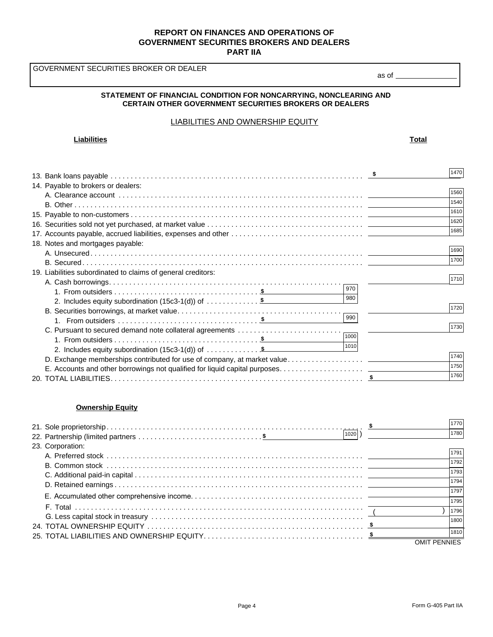GOVERNMENT SECURITIES BROKER OR DEALER

#### **STATEMENT OF FINANCIAL CONDITION FOR NONCARRYING, NONCLEARING AND CERTAIN OTHER GOVERNMENT SECURITIES BROKERS OR DEALERS**

#### LIABILITIES AND OWNERSHIP EQUITY

#### **Liabilities Total**

as of

|                                                                          |      | 1470 |
|--------------------------------------------------------------------------|------|------|
| 14. Payable to brokers or dealers:                                       |      |      |
|                                                                          |      | 1560 |
|                                                                          |      | 1540 |
|                                                                          |      | 1610 |
|                                                                          |      | 1620 |
|                                                                          |      | 1685 |
|                                                                          |      |      |
| 18. Notes and mortgages payable:                                         |      | 1690 |
|                                                                          |      |      |
|                                                                          |      | 1700 |
| 19. Liabilities subordinated to claims of general creditors:             |      |      |
|                                                                          |      | 1710 |
|                                                                          | 970  |      |
| 2. Includes equity subordination $(15c3-1(d))$ of \$                     | 980  |      |
|                                                                          |      | 1720 |
|                                                                          | 990  |      |
| C. Pursuant to secured demand note collateral agreements                 |      | 1730 |
|                                                                          | 1000 |      |
| 2. Includes equity subordination $(15c3-1(d))$ of $\dots\dots\dots\dots$ | 1010 |      |
|                                                                          |      | 1740 |
|                                                                          |      | 1750 |
|                                                                          |      | 1760 |
|                                                                          |      |      |

#### **Ownership Equity**

| 1020             | 1770<br>1780 |
|------------------|--------------|
| 23. Corporation: | 1791         |
|                  | 1792         |
|                  | 1793<br>1794 |
|                  | 1797         |
|                  | 1795<br>1796 |
|                  | 1800         |
|                  | 1810         |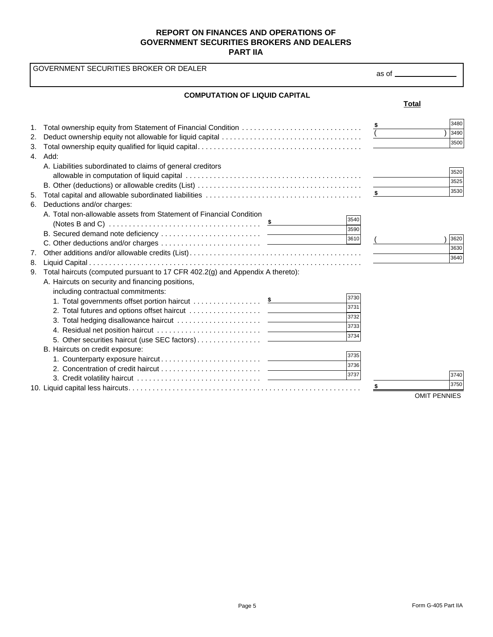|                | GOVERNMENT SECURITIES BROKER OR DEALER                                                                                                                                  |                                      | as of ___________                   |
|----------------|-------------------------------------------------------------------------------------------------------------------------------------------------------------------------|--------------------------------------|-------------------------------------|
|                | <b>COMPUTATION OF LIQUID CAPITAL</b>                                                                                                                                    |                                      | <b>Total</b>                        |
| 1.<br>2.<br>3. | Total ownership equity from Statement of Financial Condition<br>4. Add:                                                                                                 |                                      | 3480<br>3490<br>3500                |
|                | A. Liabilities subordinated to claims of general creditors                                                                                                              |                                      | 3520<br>3525<br>3530                |
| 5.             | 6. Deductions and/or charges:<br>A. Total non-allowable assets from Statement of Financial Condition                                                                    | 3540<br>3590                         |                                     |
| 7.<br>8.       |                                                                                                                                                                         | 3610                                 | 3620<br>3630<br>3640                |
| 9.             | Total haircuts (computed pursuant to 17 CFR 402.2(g) and Appendix A thereto):<br>A. Haircuts on security and financing positions,<br>including contractual commitments: | 3730<br>3731<br>3732<br>3733<br>3734 |                                     |
|                | B. Haircuts on credit exposure:                                                                                                                                         | 3735<br>3736<br>3737                 | 3740<br>3750<br><b>OMIT PENNIES</b> |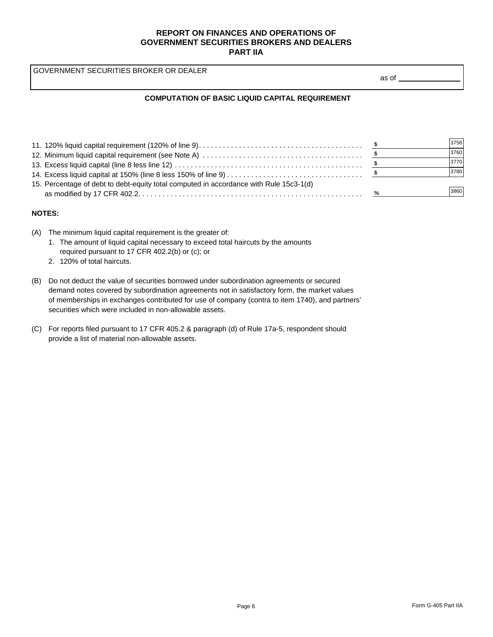GOVERNMENT SECURITIES BROKER OR DEALER

as of

#### **COMPUTATION OF BASIC LIQUID CAPITAL REQUIREMENT**

|                                                                                        |      | 3756 |
|----------------------------------------------------------------------------------------|------|------|
|                                                                                        |      | 3760 |
|                                                                                        |      | 3770 |
|                                                                                        |      | 3780 |
| 15. Percentage of debt to debt-equity total computed in accordance with Rule 15c3-1(d) |      |      |
|                                                                                        | $\%$ | 3860 |

#### **NOTES:**

- (A) The minimum liquid capital requirement is the greater of:
	- 1. The amount of liquid capital necessary to exceed total haircuts by the amounts required pursuant to 17 CFR 402.2(b) or (c); or
	- 2. 120% of total haircuts.
- (B) Do not deduct the value of securities borrowed under subordination agreements or secured demand notes covered by subordination agreements not in satisfactory form, the market values of memberships in exchanges contributed for use of company (contra to item 1740), and partners' securities which were included in non-allowable assets.
- (C) For reports filed pursuant to 17 CFR 405.2 & paragraph (d) of Rule 17a-5, respondent should provide a list of material non-allowable assets.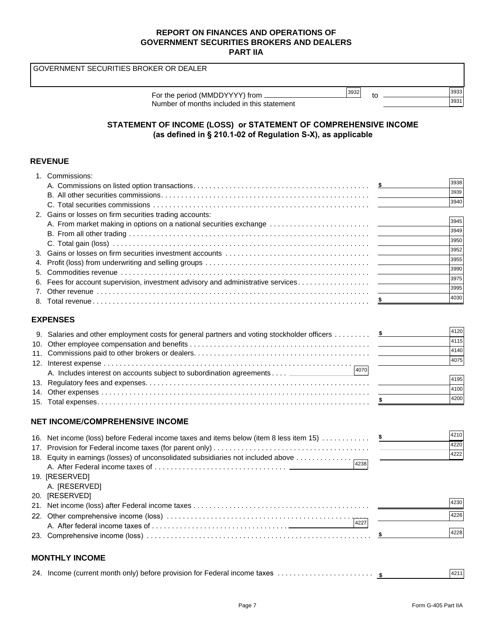GOVERNMENT SECURITIES BROKER OR DEALER

| 3932<br>For the period (MMDDYYYY) from.     | แ | 3933 |
|---------------------------------------------|---|------|
| Number of months included in this statement |   | 3931 |

# **STATEMENT OF INCOME (LOSS) or STATEMENT OF COMPREHENSIVE INCOME (as defined in § 210.1-02 of Regulation S-X), as applicable**

### **REVENUE**

|     | 1. Commissions:                                                              |      |
|-----|------------------------------------------------------------------------------|------|
|     |                                                                              | 3938 |
|     |                                                                              | 3939 |
|     |                                                                              | 3940 |
|     | 2. Gains or losses on firm securities trading accounts:                      |      |
|     |                                                                              | 3945 |
|     |                                                                              | 3949 |
|     |                                                                              | 3950 |
| 3.  |                                                                              | 3952 |
| 4.  |                                                                              | 3955 |
| 5.  |                                                                              | 3990 |
| 6.  |                                                                              | 3975 |
|     |                                                                              | 3995 |
| 8.  |                                                                              | 4030 |
|     |                                                                              |      |
|     | <b>EXPENSES</b>                                                              |      |
|     |                                                                              | 4120 |
| 10. |                                                                              | 4115 |
|     |                                                                              |      |
| 11. |                                                                              | 4140 |
|     |                                                                              | 4075 |
|     | 4070<br>A. Includes interest on accounts subject to subordination agreements |      |
|     |                                                                              | 4195 |
| 14. |                                                                              | 4100 |
|     |                                                                              | 4200 |
|     |                                                                              |      |
|     | <b>NET INCOME/COMPREHENSIVE INCOME</b>                                       |      |
|     |                                                                              | 4210 |
|     |                                                                              | 4220 |

| 18. Equity in earnings (losses) of unconsolidated subsidiaries not included above | 4222 |  |
|-----------------------------------------------------------------------------------|------|--|
| 4238                                                                              |      |  |
| 19. [RESERVED]                                                                    |      |  |
| A. [RESERVED]                                                                     |      |  |
| 20. [RESERVED]                                                                    |      |  |
|                                                                                   | 4230 |  |
|                                                                                   | 4226 |  |
| 4227                                                                              |      |  |
|                                                                                   | 4228 |  |
|                                                                                   |      |  |
| <b>MONTHLY INCOME</b>                                                             |      |  |
|                                                                                   |      |  |

|  | 24. Income (current month only) before provision for Federal income taxes | 4211 |  |
|--|---------------------------------------------------------------------------|------|--|
|--|---------------------------------------------------------------------------|------|--|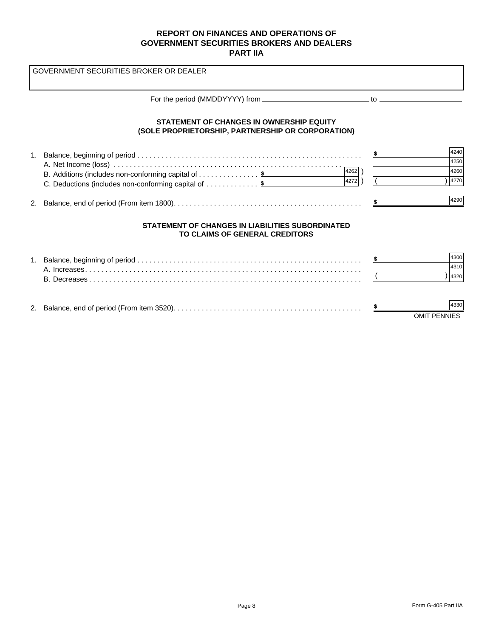$($ GOVERNMENT SECURITIES BROKER OR DEALER For the period (MMDDYYYY) from \_\_\_\_\_\_\_\_\_\_\_\_\_\_\_\_\_\_\_\_\_\_\_\_\_\_\_\_\_\_\_\_\_ to \_\_\_\_\_\_\_ 1. Balance, beginning of period . . . . . . . . . . . . . . . . . . . . . . . . . . . . . . . . . . . . . . . . . . . . . . . . . . . . . . . . A. Net Income (loss) . . . . . . . . . . . . . . . . . . . . . . . . . . . . . . . . . . . . . . . . . . . . . . . . . . . . . . . . . B. Additions (includes non-conforming capital of . . . . . . . . . . . . . . . **\$** C. Deductions (includes non-conforming capital of ............... \$  $\qquad \qquad 4272)$ ) ( 2. Balance, end of period (From item 1800). . . . . . . . . . . . . . . . . . . . . . . . . . . . . . . . . . . . . . . . . . . . . . . **STATEMENT OF CHANGES IN OWNERSHIP EQUITY (SOLE PROPRIETORSHIP, PARTNERSHIP OR CORPORATION) STATEMENT OF CHANGES IN LIABILITIES SUBORDINATED TO CLAIMS OF GENERAL CREDITORS** 1. Balance, beginning of period . . . . . . . . . . . . . . . . . . . . . . . . . . . . . . . . . . . . . . . . . . . . . . . . . . . . . . . . A. Increases. . . . . . . . . . . . . . . . . . . . . . . . . . . . . . . . . . . . . . . . . . . . . . . . . . . . . . . . . . . . . . . . . . . . . B. Decreases . . . . . . . . . . . . . . . . . . . . . . . . . . . . . . . . . . . . . . . . . . . . . . . . . . . . . . . . . . . . . . . . . . . . 2. Balance, end of period (From item 3520). . . . . . . . . . . . . . . . . . . . . . . . . . . . . . . . . . . . . . . . . . . . . . . **\$ \$ \$** ) 4262 4240 4250 4260 4270 4290 4272 4300 4310 4320 4330

OMIT PENNIES

**\$**